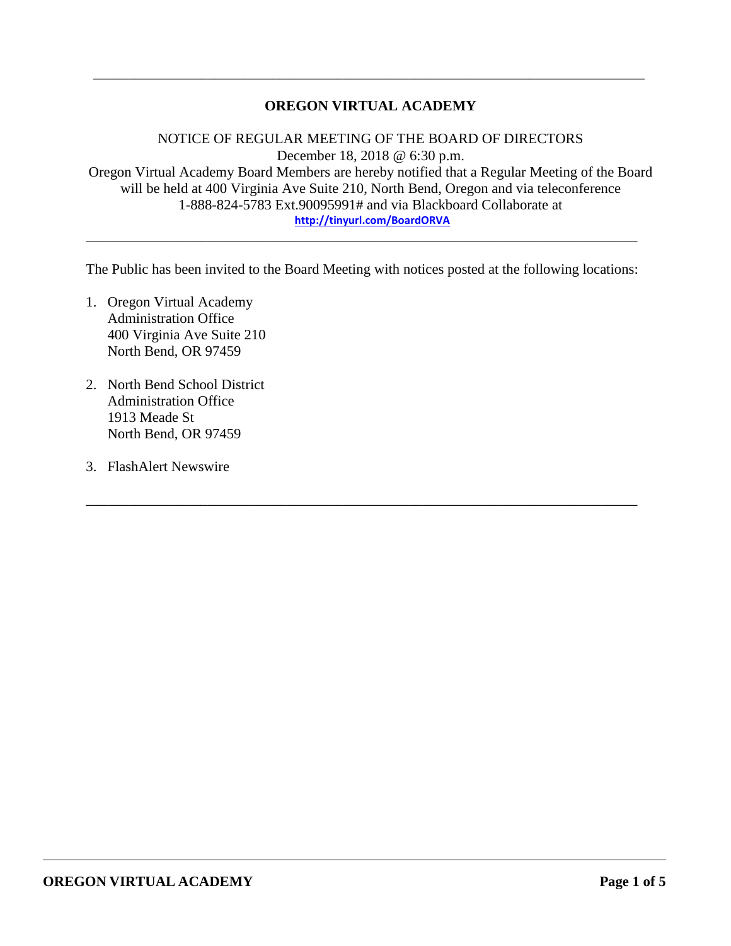## **OREGON VIRTUAL ACADEMY**

\_\_\_\_\_\_\_\_\_\_\_\_\_\_\_\_\_\_\_\_\_\_\_\_\_\_\_\_\_\_\_\_\_\_\_\_\_\_\_\_\_\_\_\_\_\_\_\_\_\_\_\_\_\_\_\_\_\_\_\_\_\_\_\_\_\_\_\_\_\_\_\_\_\_\_\_\_

NOTICE OF REGULAR MEETING OF THE BOARD OF DIRECTORS December 18, 2018 @ 6:30 p.m. Oregon Virtual Academy Board Members are hereby notified that a Regular Meeting of the Board will be held at 400 Virginia Ave Suite 210, North Bend, Oregon and via teleconference 1-888-824-5783 Ext.90095991# and via Blackboard Collaborate at **<http://tinyurl.com/BoardORVA>**

The Public has been invited to the Board Meeting with notices posted at the following locations:

\_\_\_\_\_\_\_\_\_\_\_\_\_\_\_\_\_\_\_\_\_\_\_\_\_\_\_\_\_\_\_\_\_\_\_\_\_\_\_\_\_\_\_\_\_\_\_\_\_\_\_\_\_\_\_\_\_\_\_\_\_\_\_\_\_\_\_\_\_\_\_\_\_\_\_\_\_

\_\_\_\_\_\_\_\_\_\_\_\_\_\_\_\_\_\_\_\_\_\_\_\_\_\_\_\_\_\_\_\_\_\_\_\_\_\_\_\_\_\_\_\_\_\_\_\_\_\_\_\_\_\_\_\_\_\_\_\_\_\_\_\_\_\_\_\_\_\_\_\_\_\_\_\_\_

- 1. Oregon Virtual Academy Administration Office 400 Virginia Ave Suite 210 North Bend, OR 97459
- 2. North Bend School District Administration Office 1913 Meade St North Bend, OR 97459
- 3. FlashAlert Newswire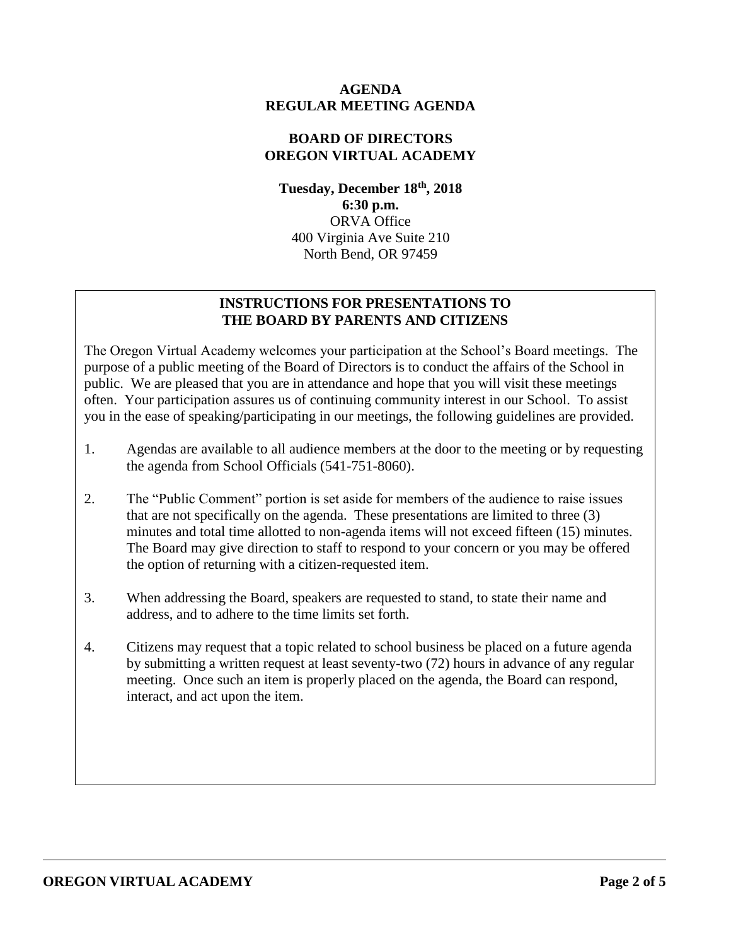#### **AGENDA REGULAR MEETING AGENDA**

#### **BOARD OF DIRECTORS OREGON VIRTUAL ACADEMY**

**Tuesday, December 18 th , 2018 6:30 p.m.** ORVA Office 400 Virginia Ave Suite 210 North Bend, OR 97459

## **INSTRUCTIONS FOR PRESENTATIONS TO THE BOARD BY PARENTS AND CITIZENS**

The Oregon Virtual Academy welcomes your participation at the School's Board meetings. The purpose of a public meeting of the Board of Directors is to conduct the affairs of the School in public. We are pleased that you are in attendance and hope that you will visit these meetings often. Your participation assures us of continuing community interest in our School. To assist you in the ease of speaking/participating in our meetings, the following guidelines are provided.

- 1. Agendas are available to all audience members at the door to the meeting or by requesting the agenda from School Officials (541-751-8060).
- 2. The "Public Comment" portion is set aside for members of the audience to raise issues that are not specifically on the agenda. These presentations are limited to three (3) minutes and total time allotted to non-agenda items will not exceed fifteen (15) minutes. The Board may give direction to staff to respond to your concern or you may be offered the option of returning with a citizen-requested item.
- 3. When addressing the Board, speakers are requested to stand, to state their name and address, and to adhere to the time limits set forth.
- 4. Citizens may request that a topic related to school business be placed on a future agenda by submitting a written request at least seventy-two (72) hours in advance of any regular meeting. Once such an item is properly placed on the agenda, the Board can respond, interact, and act upon the item.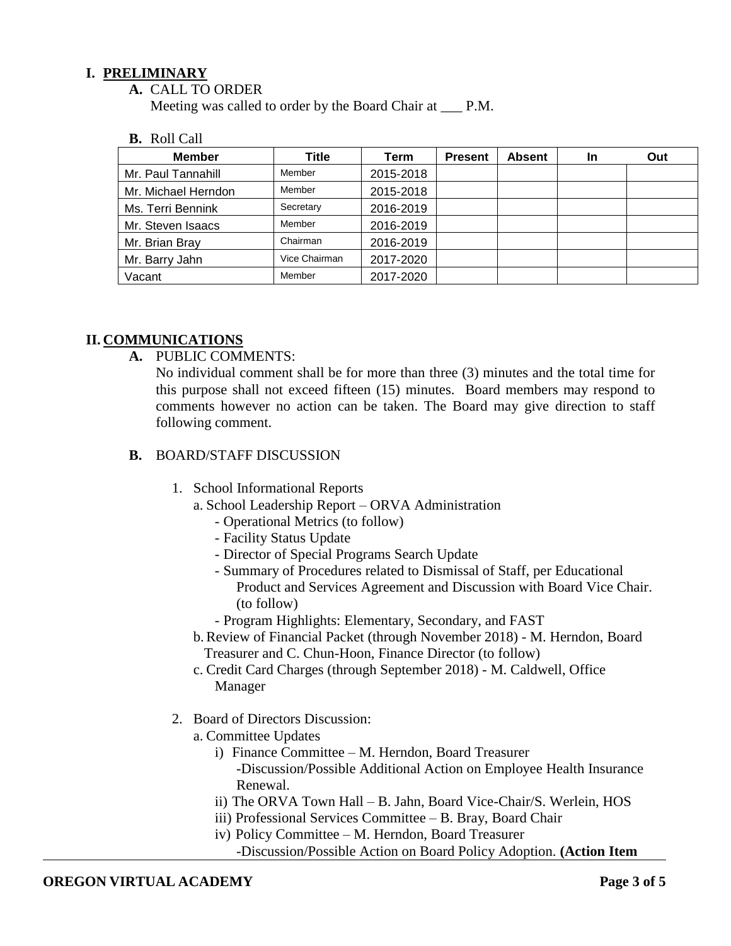#### **I. PRELIMINARY**

**A.** CALL TO ORDER

Meeting was called to order by the Board Chair at \_\_\_ P.M.

**B.** Roll Call

| <b>Member</b>       | Title         | Term      | <b>Present</b> | <b>Absent</b> | <b>In</b> | Out |
|---------------------|---------------|-----------|----------------|---------------|-----------|-----|
| Mr. Paul Tannahill  | Member        | 2015-2018 |                |               |           |     |
| Mr. Michael Herndon | Member        | 2015-2018 |                |               |           |     |
| Ms. Terri Bennink   | Secretary     | 2016-2019 |                |               |           |     |
| Mr. Steven Isaacs   | Member        | 2016-2019 |                |               |           |     |
| Mr. Brian Bray      | Chairman      | 2016-2019 |                |               |           |     |
| Mr. Barry Jahn      | Vice Chairman | 2017-2020 |                |               |           |     |
| Vacant              | Member        | 2017-2020 |                |               |           |     |

#### **II. COMMUNICATIONS**

**A.** PUBLIC COMMENTS:

No individual comment shall be for more than three (3) minutes and the total time for this purpose shall not exceed fifteen (15) minutes. Board members may respond to comments however no action can be taken. The Board may give direction to staff following comment.

- **B.** BOARD/STAFF DISCUSSION
	- 1. School Informational Reports
		- a. School Leadership Report ORVA Administration
			- Operational Metrics (to follow)
			- Facility Status Update
			- Director of Special Programs Search Update
			- Summary of Procedures related to Dismissal of Staff, per Educational Product and Services Agreement and Discussion with Board Vice Chair. (to follow)
			- Program Highlights: Elementary, Secondary, and FAST
		- b.Review of Financial Packet (through November 2018) M. Herndon, Board Treasurer and C. Chun-Hoon, Finance Director (to follow)
		- c. Credit Card Charges (through September 2018) M. Caldwell, Office Manager
	- 2. Board of Directors Discussion:
		- a. Committee Updates
			- i) Finance Committee M. Herndon, Board Treasurer -Discussion/Possible Additional Action on Employee Health Insurance Renewal.
			- ii) The ORVA Town Hall B. Jahn, Board Vice-Chair/S. Werlein, HOS
			- iii) Professional Services Committee B. Bray, Board Chair
			- iv) Policy Committee M. Herndon, Board Treasurer
				- -Discussion/Possible Action on Board Policy Adoption. **(Action Item**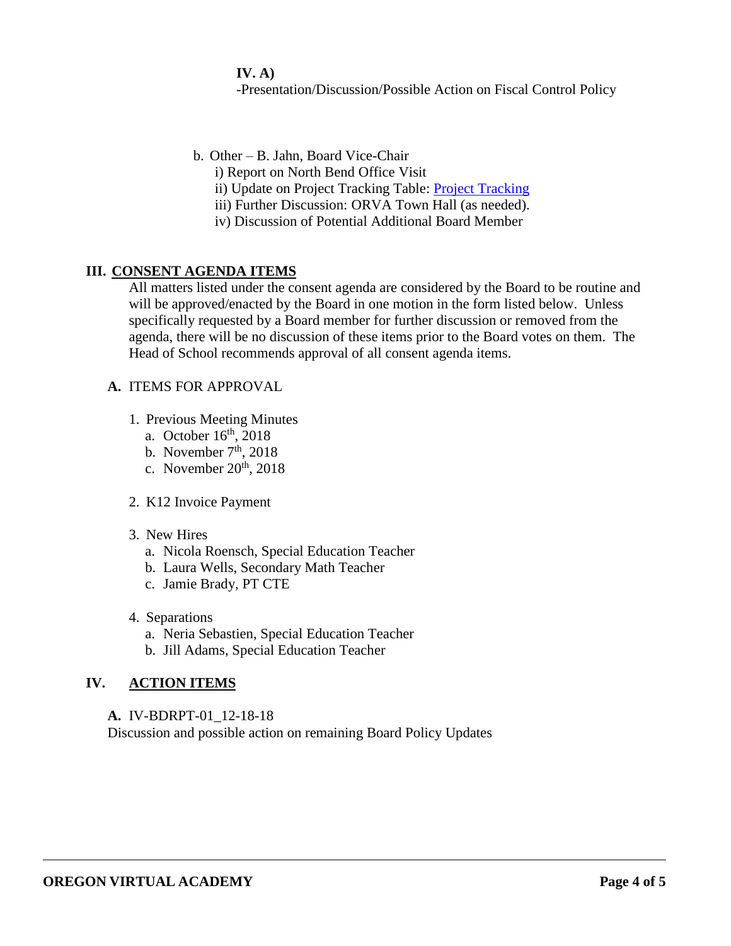**IV. A)** -Presentation/Discussion/Possible Action on Fiscal Control Policy

- b. Other B. Jahn, Board Vice-Chair
	- i) Report on North Bend Office Visit
	- ii) Update on [Project Tracking](https://docs.google.com/document/d/1RTVhuEjAlhrFC0LuB-8wiTd-hAj64I6JH8Cj6G876Eg/edit) Table: Project Tracking
	- iii) Further Discussion: ORVA Town Hall (as needed).
	- iv) Discussion of Potential Additional Board Member

## **III. CONSENT AGENDA ITEMS**

All matters listed under the consent agenda are considered by the Board to be routine and will be approved/enacted by the Board in one motion in the form listed below. Unless specifically requested by a Board member for further discussion or removed from the agenda, there will be no discussion of these items prior to the Board votes on them. The Head of School recommends approval of all consent agenda items.

#### **A.** ITEMS FOR APPROVAL

- 1. Previous Meeting Minutes
	- a. October  $16<sup>th</sup>$ , 2018
	- b. November  $7<sup>th</sup>$ , 2018
	- c. November  $20<sup>th</sup>$ ,  $2018$
- 2. K12 Invoice Payment
- 3. New Hires
	- a. Nicola Roensch, Special Education Teacher
	- b. Laura Wells, Secondary Math Teacher
	- c. Jamie Brady, PT CTE
- 4. Separations
	- a. Neria Sebastien, Special Education Teacher
	- b. Jill Adams, Special Education Teacher

# **IV. ACTION ITEMS**

**A.** IV-BDRPT-01\_12-18-18 Discussion and possible action on remaining Board Policy Updates